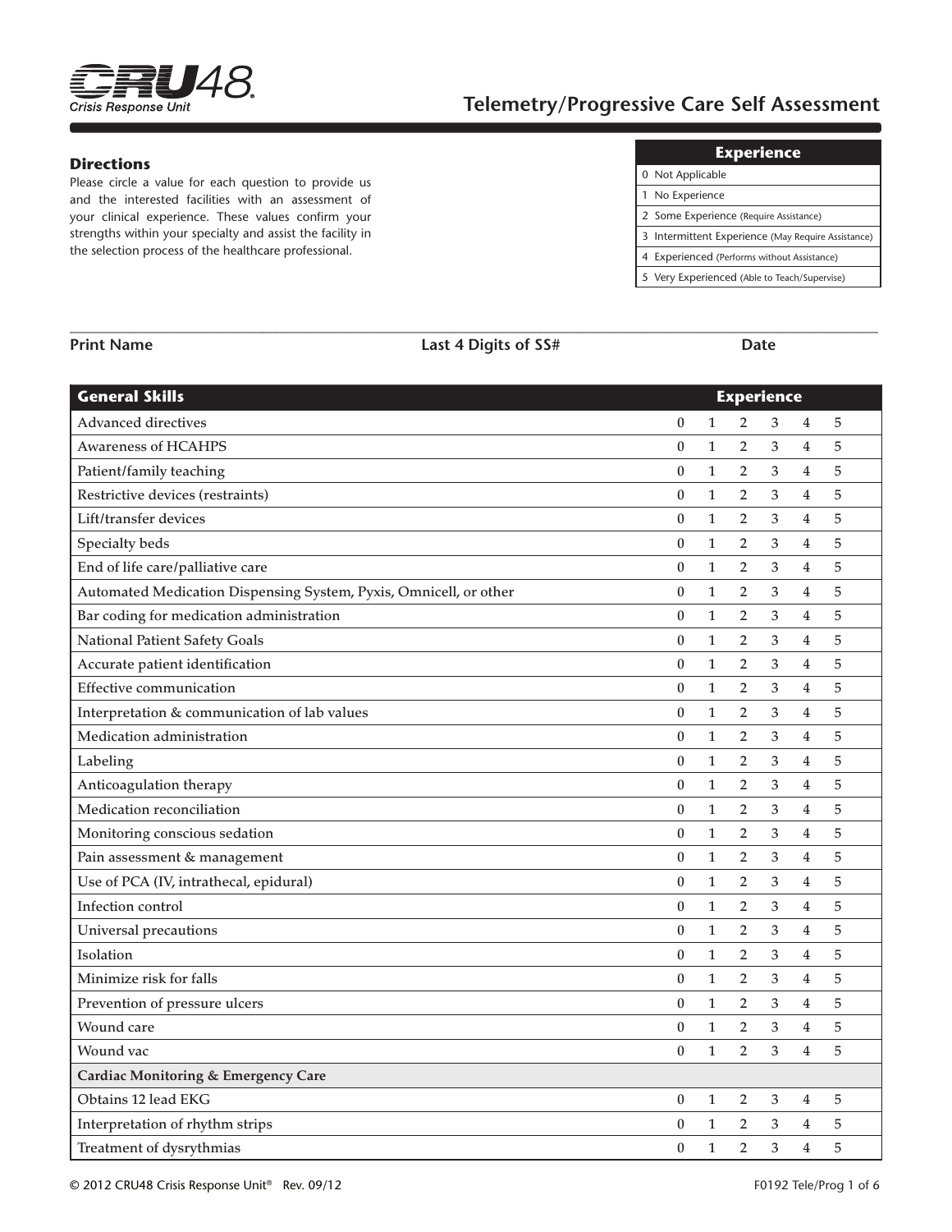

# **Telemetry/Progressive Care Self Assessment**

#### **Directions**

Please circle a value for each question to provide us and the interested facilities with an assessment of your clinical experience. These values confirm your strengths within your specialty and assist the facility in the selection process of the healthcare professional.

#### **Experience**

| 0 Not Applicable                                   |
|----------------------------------------------------|
| 1 No Experience                                    |
| 2 Some Experience (Require Assistance)             |
| 3 Intermittent Experience (May Require Assistance) |
| 4 Experienced (Performs without Assistance)        |
| 5 Very Experienced (Able to Teach/Supervise)       |

| <b>General Skills</b>                                             |                  |              | <b>Experience</b> |   |                         |             |
|-------------------------------------------------------------------|------------------|--------------|-------------------|---|-------------------------|-------------|
| Advanced directives                                               | $\boldsymbol{0}$ | $\mathbf{1}$ | $\overline{2}$    | 3 | $\overline{4}$          | 5           |
| <b>Awareness of HCAHPS</b>                                        | $\boldsymbol{0}$ | $\mathbf{1}$ | $\overline{2}$    | 3 | $\overline{4}$          | 5           |
| Patient/family teaching                                           | $\bf{0}$         | $\mathbf{1}$ | $\overline{2}$    | 3 | 4                       | 5           |
| Restrictive devices (restraints)                                  | $\boldsymbol{0}$ | $\mathbf{1}$ | $\overline{2}$    | 3 | 4                       | 5           |
| Lift/transfer devices                                             | $\boldsymbol{0}$ | $\mathbf{1}$ | $\overline{2}$    | 3 | $\overline{4}$          | 5           |
| Specialty beds                                                    | $\boldsymbol{0}$ | $\mathbf{1}$ | $\overline{2}$    | 3 | $\overline{4}$          | 5           |
| End of life care/palliative care                                  | $\boldsymbol{0}$ | $\mathbf{1}$ | $\overline{2}$    | 3 | 4                       | 5           |
| Automated Medication Dispensing System, Pyxis, Omnicell, or other | $\bf{0}$         | $\mathbf{1}$ | 2                 | 3 | 4                       | 5           |
| Bar coding for medication administration                          | $\boldsymbol{0}$ | $\mathbf{1}$ | $\overline{2}$    | 3 | 4                       | 5           |
| National Patient Safety Goals                                     | $\mathbf{0}$     | $\mathbf{1}$ | $\overline{2}$    | 3 | 4                       | 5           |
| Accurate patient identification                                   | $\boldsymbol{0}$ | $\mathbf{1}$ | 2                 | 3 | $\overline{4}$          | $\sqrt{5}$  |
| <b>Effective communication</b>                                    | $\boldsymbol{0}$ | $\mathbf{1}$ | 2                 | 3 | 4                       | 5           |
| Interpretation & communication of lab values                      | $\bf{0}$         | $\mathbf{1}$ | $\overline{2}$    | 3 | $\overline{4}$          | 5           |
| Medication administration                                         | $\mathbf{0}$     | $\mathbf{1}$ | $\overline{2}$    | 3 | $\overline{4}$          | 5           |
| Labeling                                                          | $\boldsymbol{0}$ | $\mathbf{1}$ | 2                 | 3 | 4                       | 5           |
| Anticoagulation therapy                                           | $\bf{0}$         | $\mathbf{1}$ | $\overline{2}$    | 3 | $\overline{4}$          | 5           |
| Medication reconciliation                                         | $\bf{0}$         | $\mathbf{1}$ | $\overline{2}$    | 3 | 4                       | 5           |
| Monitoring conscious sedation                                     | $\bf{0}$         | $\mathbf{1}$ | $\overline{2}$    | 3 | 4                       | 5           |
| Pain assessment & management                                      | $\boldsymbol{0}$ | $\mathbf{1}$ | $\overline{2}$    | 3 | 4                       | 5           |
| Use of PCA (IV, intrathecal, epidural)                            | $\mathbf{0}$     | $\mathbf{1}$ | $\overline{2}$    | 3 | $\overline{4}$          | 5           |
| Infection control                                                 | $\boldsymbol{0}$ | $\mathbf{1}$ | $\overline{2}$    | 3 | $\overline{4}$          | 5           |
| Universal precautions                                             | $\boldsymbol{0}$ | $\mathbf{1}$ | 2                 | 3 | 4                       | 5           |
| Isolation                                                         | $\bf{0}$         | $\mathbf{1}$ | 2                 | 3 | 4                       | 5           |
| Minimize risk for falls                                           | $\bf{0}$         | $\mathbf{1}$ | $\overline{2}$    | 3 | 4                       | 5           |
| Prevention of pressure ulcers                                     | $\boldsymbol{0}$ | $\mathbf{1}$ | 2                 | 3 | $\overline{\mathbf{4}}$ | 5           |
| Wound care                                                        | $\boldsymbol{0}$ | $\mathbf{1}$ | $\overline{2}$    | 3 | $\overline{\mathbf{4}}$ | $\sqrt{5}$  |
| Wound vac                                                         | $\mathbf{0}$     | $\mathbf{1}$ | $\overline{2}$    | 3 | $\overline{4}$          | 5           |
| <b>Cardiac Monitoring &amp; Emergency Care</b>                    |                  |              |                   |   |                         |             |
| Obtains 12 lead EKG                                               | $\mathbf{0}$     | $\mathbf{1}$ | $\overline{2}$    | 3 | 4                       | 5           |
| Interpretation of rhythm strips                                   | $\mathbf{0}$     | $\mathbf{1}$ | 2                 | 3 | $\overline{4}$          | $\mathbf 5$ |
| Treatment of dysrythmias                                          | $\mathbf{0}$     | $\mathbf{1}$ | $\overline{2}$    | 3 | 4                       | 5           |

**\_\_\_\_\_\_\_\_\_\_\_\_\_\_\_\_\_\_\_\_\_\_\_\_\_\_\_\_\_\_\_\_\_\_\_\_\_\_\_\_\_\_\_\_\_\_\_\_\_\_\_\_\_\_\_\_\_\_\_\_\_\_\_\_\_\_\_\_\_\_\_\_\_\_\_\_\_\_\_\_\_\_\_\_\_\_\_\_\_\_\_\_\_\_\_\_\_\_\_\_\_\_\_\_**

**Print Name Last 4 Digits of SS# Date**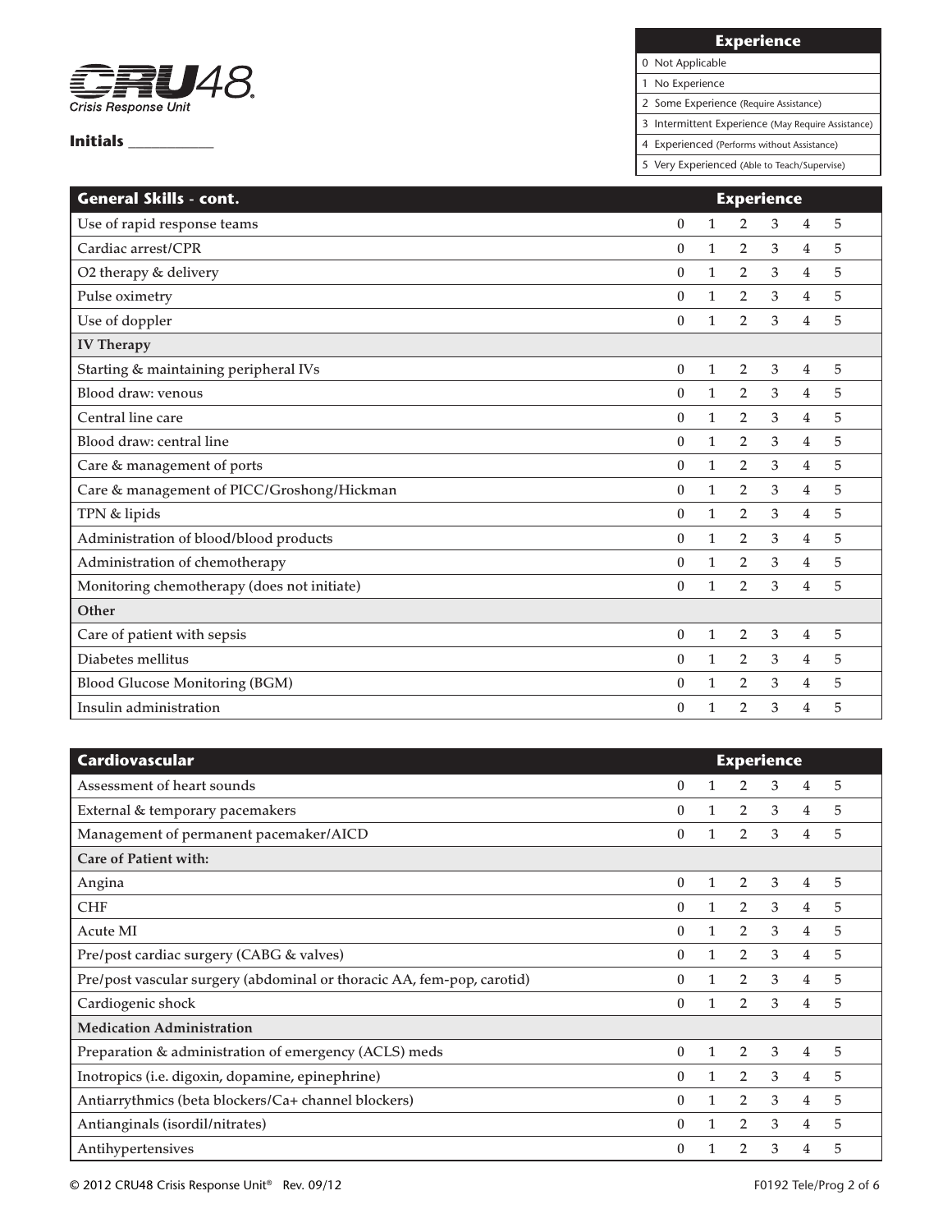

# **Experience**

0 Not Applicable

1 No Experience

2 Some Experience (Require Assistance)

3 Intermittent Experience (May Require Assistance)

4 Experienced (Performs without Assistance)

| <b>General Skills - cont.</b>               | <b>Experience</b> |              |                |   |                |   |  |  |
|---------------------------------------------|-------------------|--------------|----------------|---|----------------|---|--|--|
| Use of rapid response teams                 | $\boldsymbol{0}$  | 1            | $\overline{2}$ | 3 | 4              | 5 |  |  |
| Cardiac arrest/CPR                          | $\theta$          | 1            | 2              | 3 | $\overline{4}$ | 5 |  |  |
| O2 therapy & delivery                       | $\theta$          | 1            | $\overline{2}$ | 3 | 4              | 5 |  |  |
| Pulse oximetry                              | $\theta$          | 1            | $\overline{2}$ | 3 | $\overline{4}$ | 5 |  |  |
| Use of doppler                              | $\theta$          | 1            | 2              | 3 | 4              | 5 |  |  |
| <b>IV Therapy</b>                           |                   |              |                |   |                |   |  |  |
| Starting & maintaining peripheral IVs       | $\bf{0}$          | 1            | $\overline{2}$ | 3 | 4              | 5 |  |  |
| Blood draw: venous                          | $\theta$          | 1            | 2              | 3 | $\overline{4}$ | 5 |  |  |
| Central line care                           | $\boldsymbol{0}$  | 1            | $\overline{2}$ | 3 | $\overline{4}$ | 5 |  |  |
| Blood draw: central line                    | $\boldsymbol{0}$  | $\mathbf{1}$ | 2              | 3 | $\overline{4}$ | 5 |  |  |
| Care & management of ports                  | $\boldsymbol{0}$  | 1            | $\overline{2}$ | 3 | 4              | 5 |  |  |
| Care & management of PICC/Groshong/Hickman  | $\boldsymbol{0}$  | 1            | $\overline{2}$ | 3 | 4              | 5 |  |  |
| TPN & lipids                                | $\theta$          | 1            | $\overline{2}$ | 3 | $\overline{4}$ | 5 |  |  |
| Administration of blood/blood products      | $\theta$          | 1            | 2              | 3 | 4              | 5 |  |  |
| Administration of chemotherapy              | $\theta$          | $\mathbf{1}$ | 2              | 3 | 4              | 5 |  |  |
| Monitoring chemotherapy (does not initiate) | $\theta$          | 1            | 2              | 3 | 4              | 5 |  |  |
| Other                                       |                   |              |                |   |                |   |  |  |
| Care of patient with sepsis                 | $\boldsymbol{0}$  | 1            | 2              | 3 | 4              | 5 |  |  |
| Diabetes mellitus                           | $\theta$          | $\mathbf{1}$ | 2              | 3 | $\overline{4}$ | 5 |  |  |
| <b>Blood Glucose Monitoring (BGM)</b>       | $\boldsymbol{0}$  | 1            | $\overline{2}$ | 3 | $\overline{4}$ | 5 |  |  |
| Insulin administration                      | $\boldsymbol{0}$  | 1            | $\overline{2}$ | 3 | 4              | 5 |  |  |

| <b>Cardiovascular</b>                                                  | <b>Experience</b> |              |                |   |   |   |  |  |
|------------------------------------------------------------------------|-------------------|--------------|----------------|---|---|---|--|--|
| Assessment of heart sounds                                             | 0                 |              | $\overline{2}$ | 3 | 4 | 5 |  |  |
| External & temporary pacemakers                                        | 0                 |              | 2              | 3 | 4 | 5 |  |  |
| Management of permanent pacemaker/AICD                                 | $\theta$          |              | $\overline{2}$ | 3 | 4 | 5 |  |  |
| Care of Patient with:                                                  |                   |              |                |   |   |   |  |  |
| Angina                                                                 | $\mathbf{0}$      |              | 2              | 3 | 4 | 5 |  |  |
| <b>CHF</b>                                                             | $\mathbf{0}$      | $\mathbf{1}$ | 2              | 3 | 4 | 5 |  |  |
| Acute MI                                                               | 0                 |              | $\overline{2}$ | 3 | 4 | 5 |  |  |
| Pre/post cardiac surgery (CABG & valves)                               | 0                 |              | 2              | 3 | 4 | 5 |  |  |
| Pre/post vascular surgery (abdominal or thoracic AA, fem-pop, carotid) | $\theta$          | 1            | $\overline{2}$ | 3 | 4 | 5 |  |  |
| Cardiogenic shock                                                      | $\Omega$          | 1            | $\overline{2}$ | 3 | 4 | 5 |  |  |
| <b>Medication Administration</b>                                       |                   |              |                |   |   |   |  |  |
| Preparation & administration of emergency (ACLS) meds                  | $\mathbf{0}$      | $\mathbf{1}$ | 2              | 3 | 4 | 5 |  |  |
| Inotropics (i.e. digoxin, dopamine, epinephrine)                       | $\Omega$          |              | 2              | 3 | 4 | 5 |  |  |
| Antiarrythmics (beta blockers/Ca+ channel blockers)                    | $\mathbf{0}$      |              | 2              | 3 | 4 | 5 |  |  |
| Antianginals (isordil/nitrates)                                        | 0                 | 1            | $\overline{2}$ | 3 | 4 | 5 |  |  |
| Antihypertensives                                                      | 0                 |              | 2              | 3 | 4 | 5 |  |  |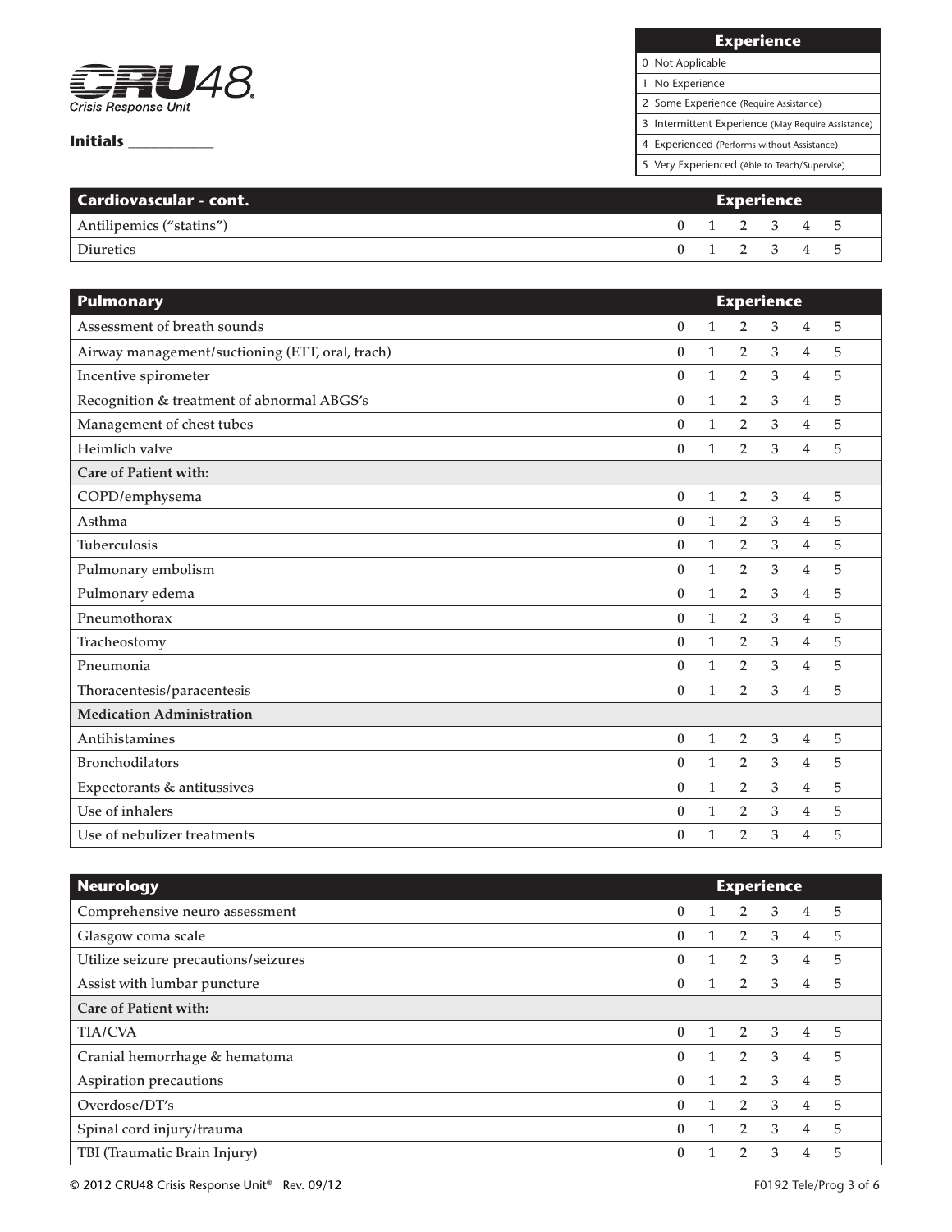

# **Experience**

# 0 Not Applicable

1 No Experience

2 Some Experience (Require Assistance)

3 Intermittent Experience (May Require Assistance)

4 Experienced (Performs without Assistance)

| <b>Cardiovascular - cont.</b> | Experience |  |             |  |  |  |
|-------------------------------|------------|--|-------------|--|--|--|
| Antilipemics ("statins")      |            |  | 0 1 2 3 4 5 |  |  |  |
| Diuretics                     |            |  | 0 1 2 3 4 5 |  |  |  |

| <b>Pulmonary</b>                                | <b>Experience</b> |              |                |                |                |   |  |  |  |
|-------------------------------------------------|-------------------|--------------|----------------|----------------|----------------|---|--|--|--|
| Assessment of breath sounds                     | $\mathbf{0}$      | $\mathbf{1}$ | $\overline{2}$ | 3              | $\overline{4}$ | 5 |  |  |  |
| Airway management/suctioning (ETT, oral, trach) | $\boldsymbol{0}$  | $\mathbf{1}$ | $\overline{2}$ | 3              | $\overline{4}$ | 5 |  |  |  |
| Incentive spirometer                            | $\theta$          | $\mathbf{1}$ | $\overline{2}$ | 3              | $\overline{4}$ | 5 |  |  |  |
| Recognition & treatment of abnormal ABGS's      | 0                 | $\mathbf{1}$ | $\overline{2}$ | 3              | $\overline{4}$ | 5 |  |  |  |
| Management of chest tubes                       | $\bf{0}$          | $\mathbf{1}$ | $\overline{2}$ | 3              | $\overline{4}$ | 5 |  |  |  |
| Heimlich valve                                  | $\theta$          | $\mathbf{1}$ | $\overline{2}$ | 3              | $\overline{4}$ | 5 |  |  |  |
| Care of Patient with:                           |                   |              |                |                |                |   |  |  |  |
| COPD/emphysema                                  | $\boldsymbol{0}$  | $\mathbf{1}$ | $\overline{2}$ | 3              | $\overline{4}$ | 5 |  |  |  |
| Asthma                                          | 0                 | $\mathbf{1}$ | $\overline{2}$ | $\mathfrak{Z}$ | $\overline{4}$ | 5 |  |  |  |
| <b>Tuberculosis</b>                             | $\bf{0}$          | $\mathbf{1}$ | $\overline{2}$ | 3              | $\overline{4}$ | 5 |  |  |  |
| Pulmonary embolism                              | $\bf{0}$          | $\mathbf{1}$ | $\overline{2}$ | 3              | $\overline{4}$ | 5 |  |  |  |
| Pulmonary edema                                 | 0                 | $\mathbf{1}$ | $\overline{2}$ | $\mathfrak{Z}$ | $\overline{4}$ | 5 |  |  |  |
| Pneumothorax                                    | $\bf{0}$          | $\mathbf{1}$ | $\overline{2}$ | 3              | $\overline{4}$ | 5 |  |  |  |
| Tracheostomy                                    | 0                 | $\mathbf{1}$ | $\overline{2}$ | 3              | $\overline{4}$ | 5 |  |  |  |
| Pneumonia                                       | $\boldsymbol{0}$  | $\mathbf{1}$ | $\overline{2}$ | 3              | $\overline{4}$ | 5 |  |  |  |
| Thoracentesis/paracentesis                      | $\bf{0}$          | $\mathbf{1}$ | $\overline{2}$ | 3              | $\overline{4}$ | 5 |  |  |  |
| <b>Medication Administration</b>                |                   |              |                |                |                |   |  |  |  |
| Antihistamines                                  | $\boldsymbol{0}$  | $\mathbf{1}$ | $\overline{2}$ | 3              | $\overline{4}$ | 5 |  |  |  |
| <b>Bronchodilators</b>                          | 0                 | $\mathbf{1}$ | $\overline{2}$ | 3              | 4              | 5 |  |  |  |
| Expectorants & antitussives                     | $\bf{0}$          | $\mathbf{1}$ | $\overline{2}$ | 3              | $\overline{4}$ | 5 |  |  |  |
| Use of inhalers                                 | $\bf{0}$          | $\mathbf{1}$ | $\overline{2}$ | 3              | $\overline{4}$ | 5 |  |  |  |
| Use of nebulizer treatments                     | $\bf{0}$          | $\mathbf{1}$ | $\overline{2}$ | 3              | $\overline{4}$ | 5 |  |  |  |

| <b>Neurology</b>                     | <b>Experience</b> |              |                |                         |                |   |
|--------------------------------------|-------------------|--------------|----------------|-------------------------|----------------|---|
| Comprehensive neuro assessment       | $\bf{0}$          |              | $2 \quad 3$    |                         | $\overline{4}$ | 5 |
| Glasgow coma scale                   | $\bf{0}$          |              | $\overline{2}$ | $\overline{\mathbf{3}}$ | $\overline{4}$ | 5 |
| Utilize seizure precautions/seizures | 0                 |              | $\overline{2}$ | 3                       | $\overline{4}$ | 5 |
| Assist with lumbar puncture          | 0                 |              | $\overline{2}$ | 3                       | $\overline{4}$ | 5 |
| Care of Patient with:                |                   |              |                |                         |                |   |
| <b>TIA/CVA</b>                       | $\theta$          |              | 2              | $\overline{3}$          | $\overline{4}$ | 5 |
| Cranial hemorrhage & hematoma        | $\mathbf{0}$      | $\mathbf{1}$ | 2              | $\overline{3}$          | $\overline{4}$ | 5 |
| Aspiration precautions               | $\theta$          |              | $2^{\circ}$    | $\overline{3}$          | $\overline{4}$ | 5 |
| Overdose/DT's                        | $\theta$          |              | $\overline{2}$ | $\overline{3}$          | $\overline{4}$ | 5 |
| Spinal cord injury/trauma            | 0                 |              | $2^{\circ}$    | $\mathbf{3}$            | $\overline{4}$ | 5 |
| TBI (Traumatic Brain Injury)         | 0                 |              | $\overline{2}$ | 3                       | 4              | 5 |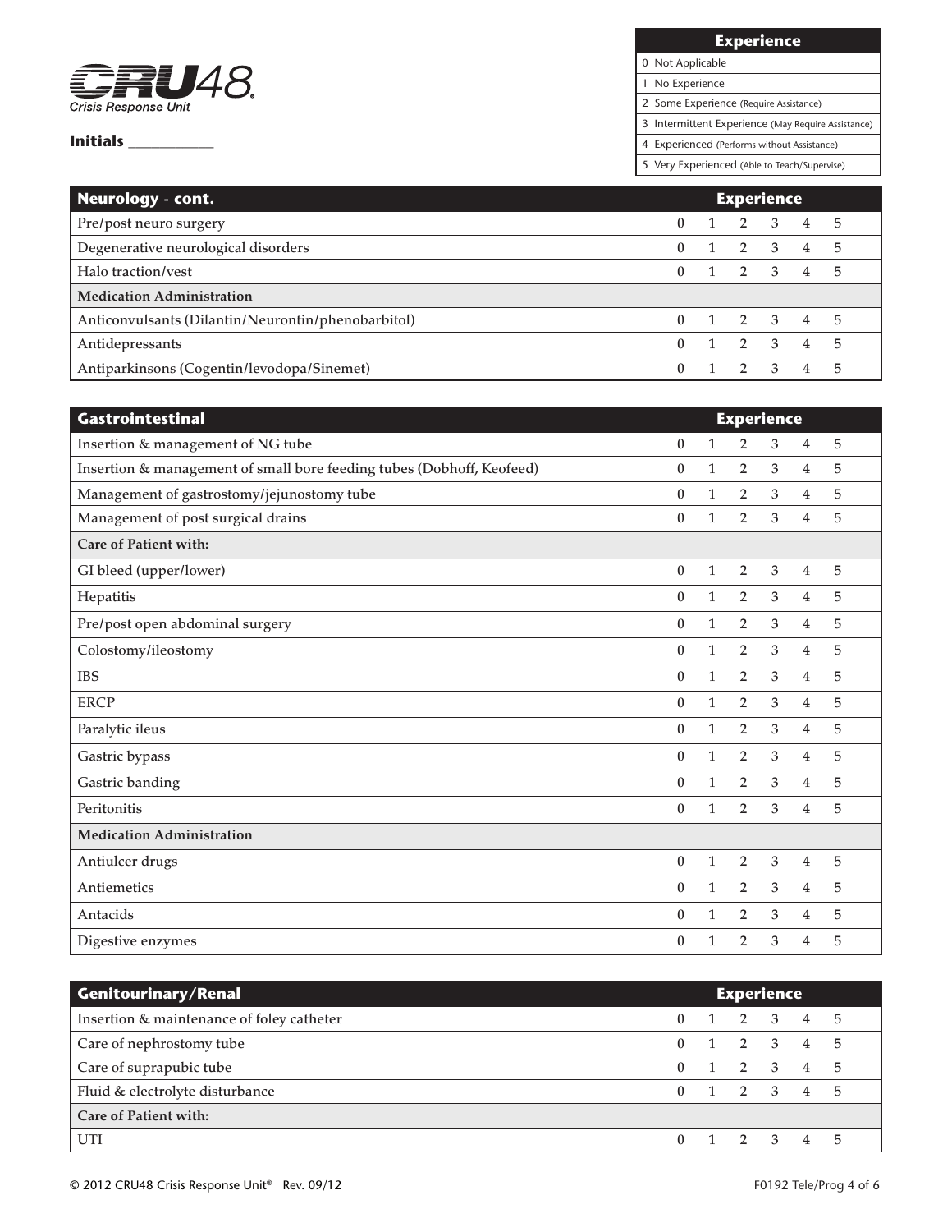

**Experience**

0 Not Applicable

1 No Experience

2 Some Experience (Require Assistance)

3 Intermittent Experience (May Require Assistance)

4 Experienced (Performs without Assistance)

| Neurology - cont.                                  | <b>Experience</b> |  |                     |             |                |    |
|----------------------------------------------------|-------------------|--|---------------------|-------------|----------------|----|
| Pre/post neuro surgery                             |                   |  | $1 \quad 2 \quad 3$ |             | 4 5            |    |
| Degenerative neurological disorders                | 0                 |  |                     | $2 \quad 3$ | $\overline{4}$ | 5  |
| Halo traction/yest                                 | 0                 |  | $1 \t2 \t3 \t4 \t5$ |             |                |    |
| <b>Medication Administration</b>                   |                   |  |                     |             |                |    |
| Anticonvulsants (Dilantin/Neurontin/phenobarbitol) |                   |  | 1 2 3 4 5           |             |                |    |
| Antidepressants                                    | 0                 |  | $1 \quad 2 \quad 3$ |             | $\overline{4}$ | .5 |
| Antiparkinsons (Cogentin/levodopa/Sinemet)         |                   |  | 2 3                 |             | 4              | 5  |

| <b>Gastrointestinal</b>                                               | <b>Experience</b> |              |                |   |                |   |  |  |
|-----------------------------------------------------------------------|-------------------|--------------|----------------|---|----------------|---|--|--|
| Insertion & management of NG tube                                     | $\boldsymbol{0}$  |              | $\overline{2}$ | 3 | 4              | 5 |  |  |
| Insertion & management of small bore feeding tubes (Dobhoff, Keofeed) | $\mathbf{0}$      | $\mathbf{1}$ | $\overline{2}$ | 3 | $\overline{4}$ | 5 |  |  |
| Management of gastrostomy/jejunostomy tube                            | $\mathbf{0}$      | $\mathbf{1}$ | $\overline{2}$ | 3 | 4              | 5 |  |  |
| Management of post surgical drains                                    | $\bf{0}$          | $\mathbf{1}$ | $\overline{2}$ | 3 | $\overline{4}$ | 5 |  |  |
| Care of Patient with:                                                 |                   |              |                |   |                |   |  |  |
| GI bleed (upper/lower)                                                | $\boldsymbol{0}$  | $\mathbf{1}$ | $\overline{2}$ | 3 | $\overline{4}$ | 5 |  |  |
| Hepatitis                                                             | $\mathbf{0}$      | $\mathbf{1}$ | $\overline{2}$ | 3 | 4              | 5 |  |  |
| Pre/post open abdominal surgery                                       | $\theta$          | $\mathbf{1}$ | $\overline{2}$ | 3 | 4              | 5 |  |  |
| Colostomy/ileostomy                                                   | $\mathbf{0}$      | $\mathbf{1}$ | $\overline{2}$ | 3 | $\overline{4}$ | 5 |  |  |
| <b>IBS</b>                                                            | $\theta$          | $\mathbf{1}$ | $\overline{2}$ | 3 | 4              | 5 |  |  |
| <b>ERCP</b>                                                           | $\mathbf{0}$      | $\mathbf{1}$ | $\overline{2}$ | 3 | $\overline{4}$ | 5 |  |  |
| Paralytic ileus                                                       | $\mathbf{0}$      | $\mathbf{1}$ | $\overline{2}$ | 3 | 4              | 5 |  |  |
| Gastric bypass                                                        | $\theta$          | $\mathbf{1}$ | $\overline{2}$ | 3 | $\overline{4}$ | 5 |  |  |
| Gastric banding                                                       | $\theta$          | 1            | $\overline{2}$ | 3 | 4              | 5 |  |  |
| Peritonitis                                                           | $\boldsymbol{0}$  | $\mathbf{1}$ | $\overline{2}$ | 3 | 4              | 5 |  |  |
| <b>Medication Administration</b>                                      |                   |              |                |   |                |   |  |  |
| Antiulcer drugs                                                       | $\boldsymbol{0}$  | $\mathbf{1}$ | 2              | 3 | 4              | 5 |  |  |
| Antiemetics                                                           | $\mathbf{0}$      | $\mathbf{1}$ | $\overline{2}$ | 3 | $\overline{4}$ | 5 |  |  |
| Antacids                                                              | $\theta$          | $\mathbf{1}$ | $\overline{2}$ | 3 | 4              | 5 |  |  |
| Digestive enzymes                                                     | $\boldsymbol{0}$  | $\mathbf{1}$ | 2              | 3 | 4              | 5 |  |  |

| <b>Genitourinary/Renal</b>                | <b>Experience</b> |  |                     |  |                |   |
|-------------------------------------------|-------------------|--|---------------------|--|----------------|---|
| Insertion & maintenance of foley catheter |                   |  | 1 2 3 4 5           |  |                |   |
| Care of nephrostomy tube                  |                   |  | $1 \quad 2 \quad 3$ |  | 4 5            |   |
| Care of suprapubic tube                   |                   |  | $1 \quad 2 \quad 3$ |  | $4\quad 5$     |   |
| Fluid & electrolyte disturbance           |                   |  | 1 2 3 4 5           |  |                |   |
| <b>Care of Patient with:</b>              |                   |  |                     |  |                |   |
| UTI                                       |                   |  | $1 \quad 2 \quad 3$ |  | $\overline{4}$ | 5 |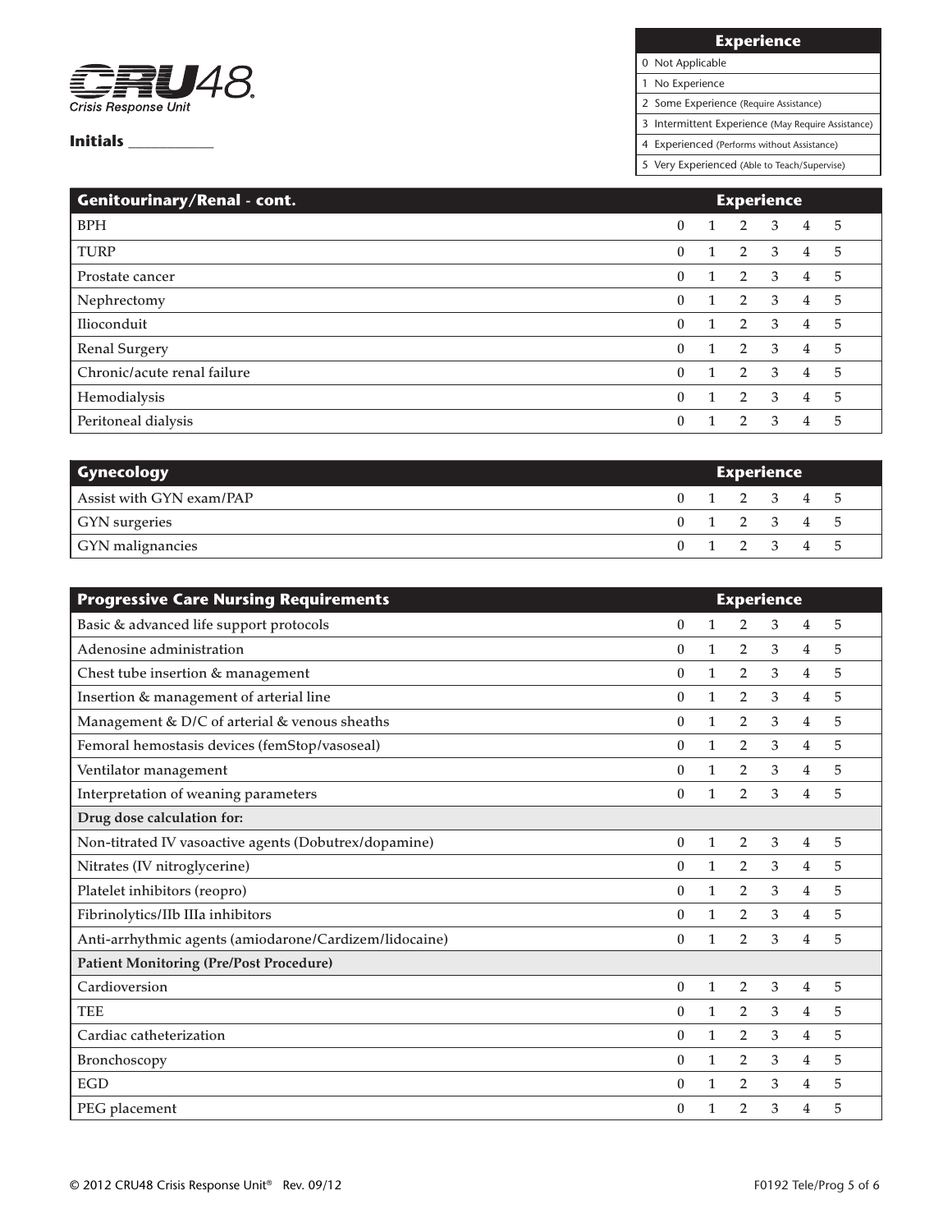

# **Experience**

0 Not Applicable

1 No Experience

2 Some Experience (Require Assistance)

3 Intermittent Experience (May Require Assistance)

4 Experienced (Performs without Assistance)

| Genitourinary/Renal - cont. | <b>Experience</b> |              |                |                         |                |    |
|-----------------------------|-------------------|--------------|----------------|-------------------------|----------------|----|
| <b>BPH</b>                  | $\mathbf{0}$      | $\mathbf{1}$ | $\overline{2}$ | $\overline{3}$          | $\overline{4}$ | 5  |
| <b>TURP</b>                 | $\mathbf{0}$      |              | 2              | $\overline{3}$          | $\overline{4}$ | 5  |
| Prostate cancer             | $\theta$          |              | $\overline{2}$ | -3                      | 4              | -5 |
| Nephrectomy                 | $\mathbf{0}$      |              | 2 3            |                         | 4              | -5 |
| Ilioconduit                 | $\theta$          | $\mathbf{1}$ |                | $2 \quad 3$             | 4              | 5  |
| <b>Renal Surgery</b>        | $\theta$          |              | $\overline{2}$ | $\overline{\mathbf{3}}$ | $\overline{4}$ | -5 |
| Chronic/acute renal failure | $\theta$          |              | 2 3            |                         | 4              | 5  |
| Hemodialysis                | $\mathbf{0}$      | $\mathbf{1}$ | $2^{\circ}$    | $\overline{3}$          | 4              | 5  |
| Peritoneal dialysis         | $\theta$          |              | $\mathbf{2}$   | 3                       | 4              | 5  |

| <b>Gynecology</b>        | <b>Experience</b> |  |             |  |  |  |
|--------------------------|-------------------|--|-------------|--|--|--|
| Assist with GYN exam/PAP |                   |  | 0 1 2 3 4 5 |  |  |  |
| <b>GYN</b> surgeries     |                   |  | 0 1 2 3 4 5 |  |  |  |
| GYN malignancies         |                   |  | 0 1 2 3 4 5 |  |  |  |

| <b>Progressive Care Nursing Requirements</b>           | <b>Experience</b> |              |                |   |                |   |
|--------------------------------------------------------|-------------------|--------------|----------------|---|----------------|---|
| Basic & advanced life support protocols                | $\mathbf{0}$      | 1            | $\overline{2}$ | 3 | 4              | 5 |
| Adenosine administration                               | $\Omega$          | 1            | $\overline{2}$ | 3 | 4              | 5 |
| Chest tube insertion & management                      | $\theta$          | 1            | $\overline{2}$ | 3 | 4              | 5 |
| Insertion & management of arterial line                | $\theta$          | 1            | $\overline{2}$ | 3 | 4              | 5 |
| Management & D/C of arterial & venous sheaths          | $\theta$          | 1            | $\overline{2}$ | 3 | 4              | 5 |
| Femoral hemostasis devices (femStop/vasoseal)          | $\theta$          | 1            | $\overline{2}$ | 3 | 4              | 5 |
| Ventilator management                                  | $\theta$          | 1            | $\overline{2}$ | 3 | $\overline{4}$ | 5 |
| Interpretation of weaning parameters                   | $\theta$          | 1            | $\overline{2}$ | 3 | $\overline{4}$ | 5 |
| Drug dose calculation for:                             |                   |              |                |   |                |   |
| Non-titrated IV vasoactive agents (Dobutrex/dopamine)  | $\mathbf{0}$      | 1            | $\overline{2}$ | 3 | 4              | 5 |
| Nitrates (IV nitroglycerine)                           | $\theta$          | $\mathbf{1}$ | $\overline{2}$ | 3 | 4              | 5 |
| Platelet inhibitors (reopro)                           | $\mathbf{0}$      | 1            | $\overline{2}$ | 3 | 4              | 5 |
| Fibrinolytics/IIb IIIa inhibitors                      | $\theta$          | 1            | $\overline{2}$ | 3 | $\overline{4}$ | 5 |
| Anti-arrhythmic agents (amiodarone/Cardizem/lidocaine) | $\theta$          | 1            | $\overline{2}$ | 3 | 4              | 5 |
| <b>Patient Monitoring (Pre/Post Procedure)</b>         |                   |              |                |   |                |   |
| Cardioversion                                          | $\theta$          | 1            | $\overline{2}$ | 3 | 4              | 5 |
| <b>TEE</b>                                             | $\mathbf{0}$      | 1            | $\overline{2}$ | 3 | 4              | 5 |
| Cardiac catheterization                                | $\theta$          | 1            | $\overline{2}$ | 3 | 4              | 5 |
| Bronchoscopy                                           | $\Omega$          | 1            | $\overline{2}$ | 3 | 4              | 5 |
| <b>EGD</b>                                             | $\mathbf{0}$      | 1            | $\overline{2}$ | 3 | 4              | 5 |
| PEG placement                                          | $\bf{0}$          |              | $\overline{2}$ | 3 | 4              | 5 |